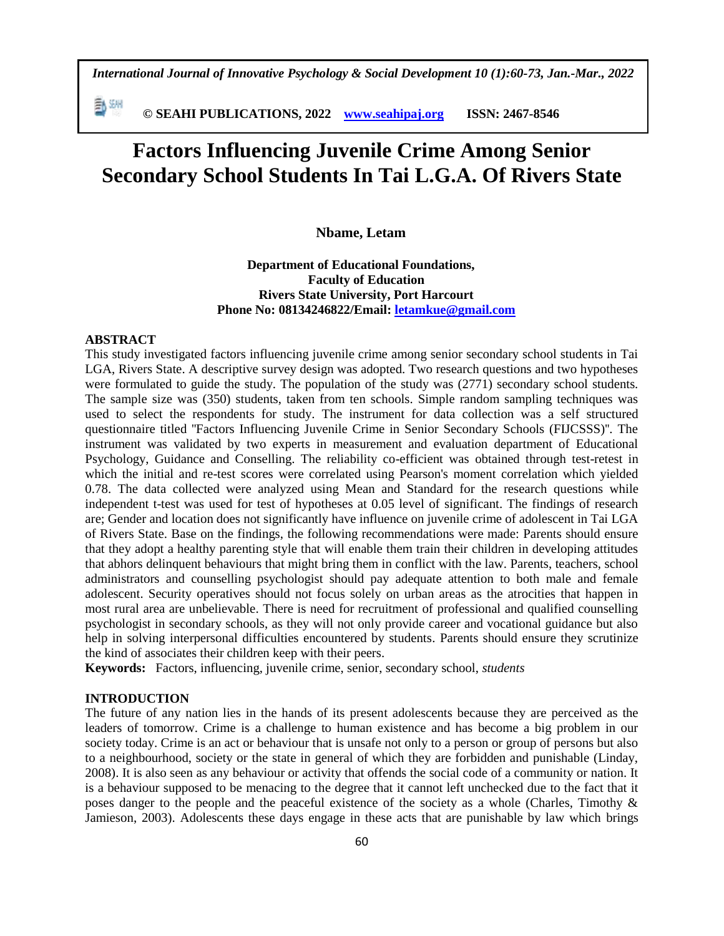*International Journal of Innovative Psychology & Social Development 10 (1):60-73, Jan.-Mar., 2022*

勤細  **© SEAHI PUBLICATIONS, 2022 [www.seahipaj.org](http://www.seahipaj.org/) ISSN: 2467-8546**

# **Factors Influencing Juvenile Crime Among Senior Secondary School Students In Tai L.G.A. Of Rivers State**

# **Nbame, Letam**

**Department of Educational Foundations, Faculty of Education Rivers State University, Port Harcourt Phone No: 08134246822/Email: [letamkue@gmail.com](mailto:letamkue@gmail.com)**

# **ABSTRACT**

This study investigated factors influencing juvenile crime among senior secondary school students in Tai LGA, Rivers State. A descriptive survey design was adopted. Two research questions and two hypotheses were formulated to guide the study. The population of the study was (2771) secondary school students. The sample size was (350) students, taken from ten schools. Simple random sampling techniques was used to select the respondents for study. The instrument for data collection was a self structured questionnaire titled "Factors Influencing Juvenile Crime in Senior Secondary Schools (FIJCSSS)". The instrument was validated by two experts in measurement and evaluation department of Educational Psychology, Guidance and Conselling. The reliability co-efficient was obtained through test-retest in which the initial and re-test scores were correlated using Pearson's moment correlation which yielded 0.78. The data collected were analyzed using Mean and Standard for the research questions while independent t-test was used for test of hypotheses at 0.05 level of significant. The findings of research are; Gender and location does not significantly have influence on juvenile crime of adolescent in Tai LGA of Rivers State. Base on the findings, the following recommendations were made: Parents should ensure that they adopt a healthy parenting style that will enable them train their children in developing attitudes that abhors delinquent behaviours that might bring them in conflict with the law. Parents, teachers, school administrators and counselling psychologist should pay adequate attention to both male and female adolescent. Security operatives should not focus solely on urban areas as the atrocities that happen in most rural area are unbelievable. There is need for recruitment of professional and qualified counselling psychologist in secondary schools, as they will not only provide career and vocational guidance but also help in solving interpersonal difficulties encountered by students. Parents should ensure they scrutinize the kind of associates their children keep with their peers.

**Keywords:** Factors, influencing, juvenile crime, senior, secondary school, *students*

#### **INTRODUCTION**

The future of any nation lies in the hands of its present adolescents because they are perceived as the leaders of tomorrow. Crime is a challenge to human existence and has become a big problem in our society today. Crime is an act or behaviour that is unsafe not only to a person or group of persons but also to a neighbourhood, society or the state in general of which they are forbidden and punishable (Linday, 2008). It is also seen as any behaviour or activity that offends the social code of a community or nation. It is a behaviour supposed to be menacing to the degree that it cannot left unchecked due to the fact that it poses danger to the people and the peaceful existence of the society as a whole (Charles, Timothy & Jamieson, 2003). Adolescents these days engage in these acts that are punishable by law which brings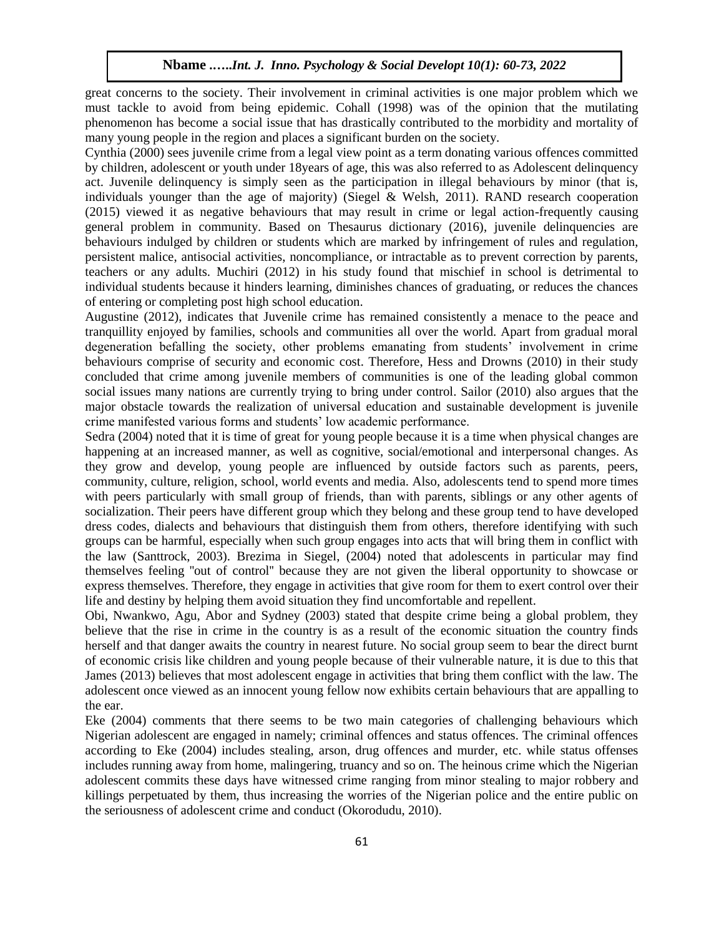great concerns to the society. Their involvement in criminal activities is one major problem which we must tackle to avoid from being epidemic. Cohall (1998) was of the opinion that the mutilating phenomenon has become a social issue that has drastically contributed to the morbidity and mortality of many young people in the region and places a significant burden on the society.

Cynthia (2000) sees juvenile crime from a legal view point as a term donating various offences committed by children, adolescent or youth under 18years of age, this was also referred to as Adolescent delinquency act. Juvenile delinquency is simply seen as the participation in illegal behaviours by minor (that is, individuals younger than the age of majority) (Siegel & Welsh, 2011). RAND research cooperation (2015) viewed it as negative behaviours that may result in crime or legal action-frequently causing general problem in community. Based on Thesaurus dictionary (2016), juvenile delinquencies are behaviours indulged by children or students which are marked by infringement of rules and regulation, persistent malice, antisocial activities, noncompliance, or intractable as to prevent correction by parents, teachers or any adults. Muchiri (2012) in his study found that mischief in school is detrimental to individual students because it hinders learning, diminishes chances of graduating, or reduces the chances of entering or completing post high school education.

Augustine (2012), indicates that Juvenile crime has remained consistently a menace to the peace and tranquillity enjoyed by families, schools and communities all over the world. Apart from gradual moral degeneration befalling the society, other problems emanating from students' involvement in crime behaviours comprise of security and economic cost. Therefore, Hess and Drowns (2010) in their study concluded that crime among juvenile members of communities is one of the leading global common social issues many nations are currently trying to bring under control. Sailor (2010) also argues that the major obstacle towards the realization of universal education and sustainable development is juvenile crime manifested various forms and students' low academic performance.

Sedra (2004) noted that it is time of great for young people because it is a time when physical changes are happening at an increased manner, as well as cognitive, social/emotional and interpersonal changes. As they grow and develop, young people are influenced by outside factors such as parents, peers, community, culture, religion, school, world events and media. Also, adolescents tend to spend more times with peers particularly with small group of friends, than with parents, siblings or any other agents of socialization. Their peers have different group which they belong and these group tend to have developed dress codes, dialects and behaviours that distinguish them from others, therefore identifying with such groups can be harmful, especially when such group engages into acts that will bring them in conflict with the law (Santtrock, 2003). Brezima in Siegel, (2004) noted that adolescents in particular may find themselves feeling ''out of control'' because they are not given the liberal opportunity to showcase or express themselves. Therefore, they engage in activities that give room for them to exert control over their life and destiny by helping them avoid situation they find uncomfortable and repellent.

Obi, Nwankwo, Agu, Abor and Sydney (2003) stated that despite crime being a global problem, they believe that the rise in crime in the country is as a result of the economic situation the country finds herself and that danger awaits the country in nearest future. No social group seem to bear the direct burnt of economic crisis like children and young people because of their vulnerable nature, it is due to this that James (2013) believes that most adolescent engage in activities that bring them conflict with the law. The adolescent once viewed as an innocent young fellow now exhibits certain behaviours that are appalling to the ear.

Eke (2004) comments that there seems to be two main categories of challenging behaviours which Nigerian adolescent are engaged in namely; criminal offences and status offences. The criminal offences according to Eke (2004) includes stealing, arson, drug offences and murder, etc. while status offenses includes running away from home, malingering, truancy and so on. The heinous crime which the Nigerian adolescent commits these days have witnessed crime ranging from minor stealing to major robbery and killings perpetuated by them, thus increasing the worries of the Nigerian police and the entire public on the seriousness of adolescent crime and conduct (Okorodudu, 2010).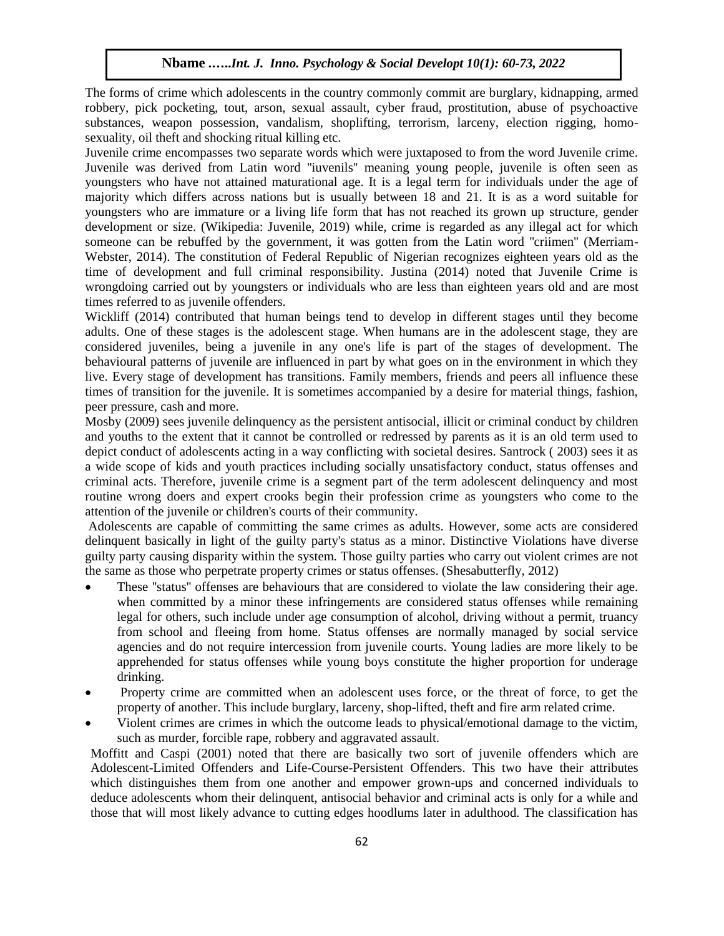The forms of crime which adolescents in the country commonly commit are burglary, kidnapping, armed robbery, pick pocketing, tout, arson, sexual assault, cyber fraud, prostitution, abuse of psychoactive substances, weapon possession, vandalism, shoplifting, terrorism, larceny, election rigging, homosexuality, oil theft and shocking ritual killing etc.

Juvenile crime encompasses two separate words which were juxtaposed to from the word Juvenile crime. Juvenile was derived from Latin word ''iuvenils'' meaning young people, juvenile is often seen as youngsters who have not attained maturational age. It is a legal term for individuals under the age of majority which differs across nations but is usually between 18 and 21. It is as a word suitable for youngsters who are immature or a living life form that has not reached its grown up structure, gender development or size. (Wikipedia: Juvenile, 2019) while, crime is regarded as any illegal act for which someone can be rebuffed by the government, it was gotten from the Latin word "criimen" (Merriam-Webster, 2014). The constitution of Federal Republic of Nigerian recognizes eighteen years old as the time of development and full criminal responsibility. Justina (2014) noted that Juvenile Crime is wrongdoing carried out by youngsters or individuals who are less than eighteen years old and are most times referred to as juvenile offenders.

Wickliff (2014) contributed that human beings tend to develop in different stages until they become adults. One of these stages is the adolescent stage. When humans are in the adolescent stage, they are considered juveniles, being a juvenile in any one's life is part of the stages of development. The behavioural patterns of juvenile are influenced in part by what goes on in the environment in which they live. Every stage of development has transitions. Family members, friends and peers all influence these times of transition for the juvenile. It is sometimes accompanied by a desire for material things, fashion, peer pressure, cash and more.

Mosby (2009) sees juvenile delinquency as the persistent antisocial, illicit or criminal conduct by children and youths to the extent that it cannot be controlled or redressed by parents as it is an old term used to depict conduct of adolescents acting in a way conflicting with societal desires. Santrock ( 2003) sees it as a wide scope of kids and youth practices including socially unsatisfactory conduct, status offenses and criminal acts. Therefore, juvenile crime is a segment part of the term adolescent delinquency and most routine wrong doers and expert crooks begin their profession crime as youngsters who come to the attention of the juvenile or children's courts of their community.

Adolescents are capable of committing the same crimes as adults. However, some acts are considered delinquent basically in light of the guilty party's status as a minor. Distinctive Violations have diverse guilty party causing disparity within the system. Those guilty parties who carry out violent crimes are not the same as those who perpetrate property crimes or status offenses. (Shesabutterfly, 2012)

- These ''status'' offenses are behaviours that are considered to violate the law considering their age. when committed by a minor these infringements are considered status offenses while remaining legal for others, such include under age consumption of alcohol, driving without a permit, truancy from school and fleeing from home. Status offenses are normally managed by social service agencies and do not require intercession from juvenile courts. Young ladies are more likely to be apprehended for status offenses while young boys constitute the higher proportion for underage drinking.
- Property crime are committed when an adolescent uses force, or the threat of force, to get the property of another. This include burglary, larceny, shop-lifted, theft and fire arm related crime.
- Violent crimes are crimes in which the outcome leads to physical/emotional damage to the victim, such as murder, forcible rape, robbery and aggravated assault.

Moffitt and Caspi (2001) noted that there are basically two sort of juvenile offenders which are Adolescent-Limited Offenders and Life-Course-Persistent Offenders. This two have their attributes which distinguishes them from one another and empower grown-ups and concerned individuals to deduce adolescents whom their delinquent, antisocial behavior and criminal acts is only for a while and those that will most likely advance to cutting edges hoodlums later in adulthood. The classification has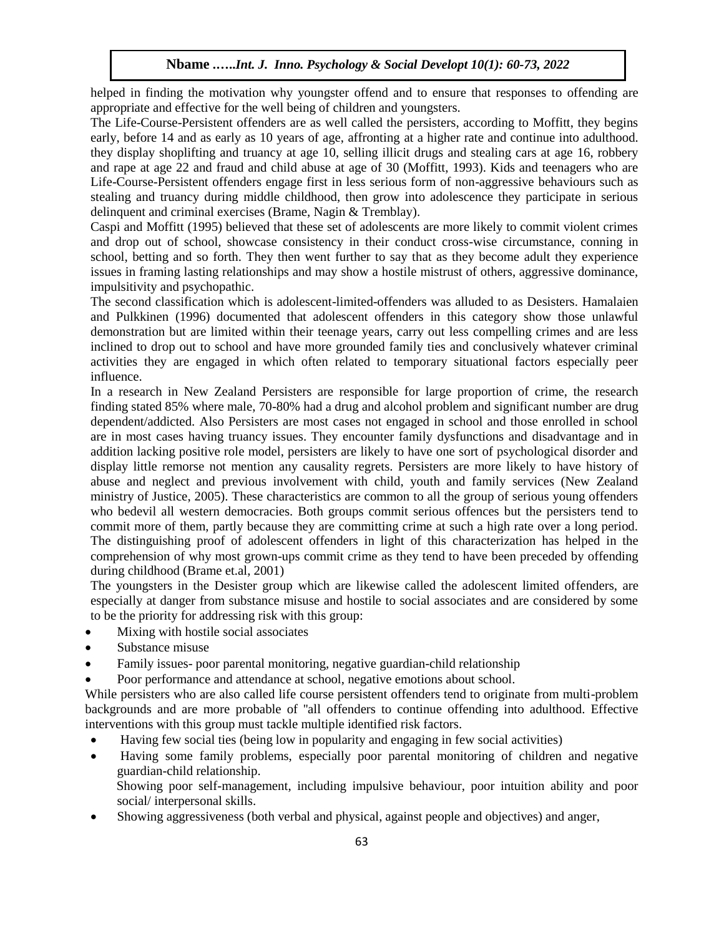helped in finding the motivation why youngster offend and to ensure that responses to offending are appropriate and effective for the well being of children and youngsters.

The Life-Course-Persistent offenders are as well called the persisters, according to Moffitt, they begins early, before 14 and as early as 10 years of age, affronting at a higher rate and continue into adulthood. they display shoplifting and truancy at age 10, selling illicit drugs and stealing cars at age 16, robbery and rape at age 22 and fraud and child abuse at age of 30 (Moffitt, 1993). Kids and teenagers who are Life-Course-Persistent offenders engage first in less serious form of non-aggressive behaviours such as stealing and truancy during middle childhood, then grow into adolescence they participate in serious delinquent and criminal exercises (Brame, Nagin & Tremblay).

Caspi and Moffitt (1995) believed that these set of adolescents are more likely to commit violent crimes and drop out of school, showcase consistency in their conduct cross-wise circumstance, conning in school, betting and so forth. They then went further to say that as they become adult they experience issues in framing lasting relationships and may show a hostile mistrust of others, aggressive dominance, impulsitivity and psychopathic.

The second classification which is adolescent-limited-offenders was alluded to as Desisters. Hamalaien and Pulkkinen (1996) documented that adolescent offenders in this category show those unlawful demonstration but are limited within their teenage years, carry out less compelling crimes and are less inclined to drop out to school and have more grounded family ties and conclusively whatever criminal activities they are engaged in which often related to temporary situational factors especially peer influence.

In a research in New Zealand Persisters are responsible for large proportion of crime, the research finding stated 85% where male, 70-80% had a drug and alcohol problem and significant number are drug dependent/addicted. Also Persisters are most cases not engaged in school and those enrolled in school are in most cases having truancy issues. They encounter family dysfunctions and disadvantage and in addition lacking positive role model, persisters are likely to have one sort of psychological disorder and display little remorse not mention any causality regrets. Persisters are more likely to have history of abuse and neglect and previous involvement with child, youth and family services (New Zealand ministry of Justice, 2005). These characteristics are common to all the group of serious young offenders who bedevil all western democracies. Both groups commit serious offences but the persisters tend to commit more of them, partly because they are committing crime at such a high rate over a long period. The distinguishing proof of adolescent offenders in light of this characterization has helped in the comprehension of why most grown-ups commit crime as they tend to have been preceded by offending during childhood (Brame et.al, 2001)

The youngsters in the Desister group which are likewise called the adolescent limited offenders, are especially at danger from substance misuse and hostile to social associates and are considered by some to be the priority for addressing risk with this group:

- Mixing with hostile social associates
- Substance misuse
- Family issues- poor parental monitoring, negative guardian-child relationship
- Poor performance and attendance at school, negative emotions about school.

While persisters who are also called life course persistent offenders tend to originate from multi-problem backgrounds and are more probable of ''all offenders to continue offending into adulthood. Effective interventions with this group must tackle multiple identified risk factors.

- Having few social ties (being low in popularity and engaging in few social activities)
- Having some family problems, especially poor parental monitoring of children and negative guardian-child relationship.
	- Showing poor self-management, including impulsive behaviour, poor intuition ability and poor social/ interpersonal skills.
- Showing aggressiveness (both verbal and physical, against people and objectives) and anger,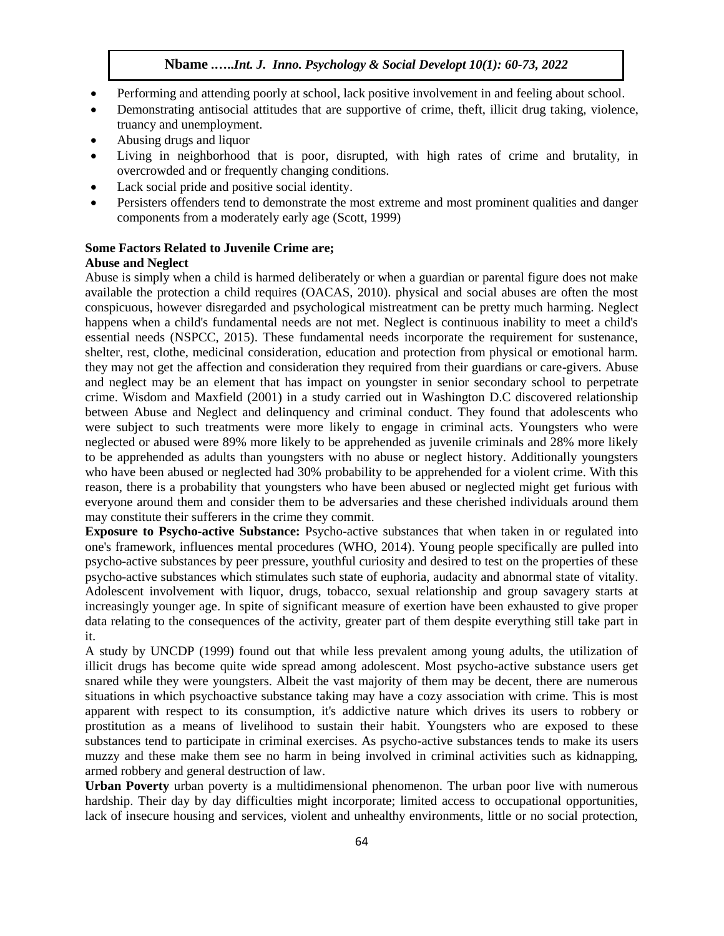- Performing and attending poorly at school, lack positive involvement in and feeling about school.
- Demonstrating antisocial attitudes that are supportive of crime, theft, illicit drug taking, violence, truancy and unemployment.
- Abusing drugs and liquor
- Living in neighborhood that is poor, disrupted, with high rates of crime and brutality, in overcrowded and or frequently changing conditions.
- Lack social pride and positive social identity.
- Persisters offenders tend to demonstrate the most extreme and most prominent qualities and danger components from a moderately early age (Scott, 1999)

# **Some Factors Related to Juvenile Crime are;**

# **Abuse and Neglect**

Abuse is simply when a child is harmed deliberately or when a guardian or parental figure does not make available the protection a child requires (OACAS, 2010). physical and social abuses are often the most conspicuous, however disregarded and psychological mistreatment can be pretty much harming. Neglect happens when a child's fundamental needs are not met. Neglect is continuous inability to meet a child's essential needs (NSPCC, 2015). These fundamental needs incorporate the requirement for sustenance, shelter, rest, clothe, medicinal consideration, education and protection from physical or emotional harm. they may not get the affection and consideration they required from their guardians or care-givers. Abuse and neglect may be an element that has impact on youngster in senior secondary school to perpetrate crime. Wisdom and Maxfield (2001) in a study carried out in Washington D.C discovered relationship between Abuse and Neglect and delinquency and criminal conduct. They found that adolescents who were subject to such treatments were more likely to engage in criminal acts. Youngsters who were neglected or abused were 89% more likely to be apprehended as juvenile criminals and 28% more likely to be apprehended as adults than youngsters with no abuse or neglect history. Additionally youngsters who have been abused or neglected had 30% probability to be apprehended for a violent crime. With this reason, there is a probability that youngsters who have been abused or neglected might get furious with everyone around them and consider them to be adversaries and these cherished individuals around them may constitute their sufferers in the crime they commit.

**Exposure to Psycho-active Substance:** Psycho-active substances that when taken in or regulated into one's framework, influences mental procedures (WHO, 2014). Young people specifically are pulled into psycho-active substances by peer pressure, youthful curiosity and desired to test on the properties of these psycho-active substances which stimulates such state of euphoria, audacity and abnormal state of vitality. Adolescent involvement with liquor, drugs, tobacco, sexual relationship and group savagery starts at increasingly younger age. In spite of significant measure of exertion have been exhausted to give proper data relating to the consequences of the activity, greater part of them despite everything still take part in it.

A study by UNCDP (1999) found out that while less prevalent among young adults, the utilization of illicit drugs has become quite wide spread among adolescent. Most psycho-active substance users get snared while they were youngsters. Albeit the vast majority of them may be decent, there are numerous situations in which psychoactive substance taking may have a cozy association with crime. This is most apparent with respect to its consumption, it's addictive nature which drives its users to robbery or prostitution as a means of livelihood to sustain their habit. Youngsters who are exposed to these substances tend to participate in criminal exercises. As psycho-active substances tends to make its users muzzy and these make them see no harm in being involved in criminal activities such as kidnapping, armed robbery and general destruction of law.

**Urban Poverty** urban poverty is a multidimensional phenomenon. The urban poor live with numerous hardship. Their day by day difficulties might incorporate; limited access to occupational opportunities, lack of insecure housing and services, violent and unhealthy environments, little or no social protection,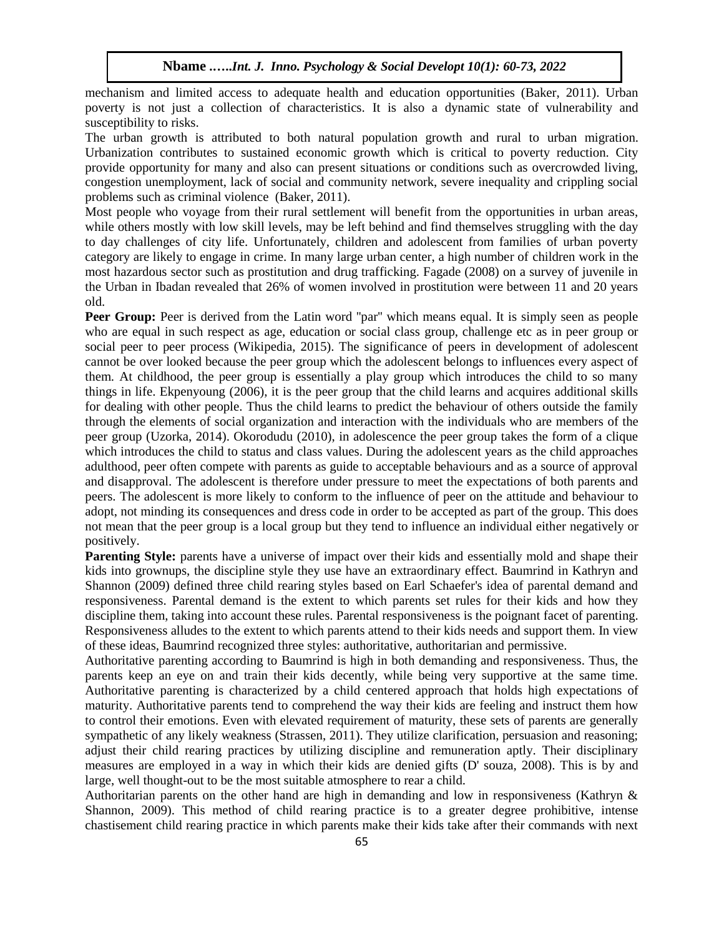mechanism and limited access to adequate health and education opportunities (Baker, 2011). Urban poverty is not just a collection of characteristics. It is also a dynamic state of vulnerability and susceptibility to risks.

The urban growth is attributed to both natural population growth and rural to urban migration. Urbanization contributes to sustained economic growth which is critical to poverty reduction. City provide opportunity for many and also can present situations or conditions such as overcrowded living, congestion unemployment, lack of social and community network, severe inequality and crippling social problems such as criminal violence (Baker, 2011).

Most people who voyage from their rural settlement will benefit from the opportunities in urban areas, while others mostly with low skill levels, may be left behind and find themselves struggling with the day to day challenges of city life. Unfortunately, children and adolescent from families of urban poverty category are likely to engage in crime. In many large urban center, a high number of children work in the most hazardous sector such as prostitution and drug trafficking. Fagade (2008) on a survey of juvenile in the Urban in Ibadan revealed that 26% of women involved in prostitution were between 11 and 20 years old.

Peer Group: Peer is derived from the Latin word "par" which means equal. It is simply seen as people who are equal in such respect as age, education or social class group, challenge etc as in peer group or social peer to peer process (Wikipedia, 2015). The significance of peers in development of adolescent cannot be over looked because the peer group which the adolescent belongs to influences every aspect of them. At childhood, the peer group is essentially a play group which introduces the child to so many things in life. Ekpenyoung (2006), it is the peer group that the child learns and acquires additional skills for dealing with other people. Thus the child learns to predict the behaviour of others outside the family through the elements of social organization and interaction with the individuals who are members of the peer group (Uzorka, 2014). Okorodudu (2010), in adolescence the peer group takes the form of a clique which introduces the child to status and class values. During the adolescent years as the child approaches adulthood, peer often compete with parents as guide to acceptable behaviours and as a source of approval and disapproval. The adolescent is therefore under pressure to meet the expectations of both parents and peers. The adolescent is more likely to conform to the influence of peer on the attitude and behaviour to adopt, not minding its consequences and dress code in order to be accepted as part of the group. This does not mean that the peer group is a local group but they tend to influence an individual either negatively or positively.

**Parenting Style:** parents have a universe of impact over their kids and essentially mold and shape their kids into grownups, the discipline style they use have an extraordinary effect. Baumrind in Kathryn and Shannon (2009) defined three child rearing styles based on Earl Schaefer's idea of parental demand and responsiveness. Parental demand is the extent to which parents set rules for their kids and how they discipline them, taking into account these rules. Parental responsiveness is the poignant facet of parenting. Responsiveness alludes to the extent to which parents attend to their kids needs and support them. In view of these ideas, Baumrind recognized three styles: authoritative, authoritarian and permissive.

Authoritative parenting according to Baumrind is high in both demanding and responsiveness. Thus, the parents keep an eye on and train their kids decently, while being very supportive at the same time. Authoritative parenting is characterized by a child centered approach that holds high expectations of maturity. Authoritative parents tend to comprehend the way their kids are feeling and instruct them how to control their emotions. Even with elevated requirement of maturity, these sets of parents are generally sympathetic of any likely weakness (Strassen, 2011). They utilize clarification, persuasion and reasoning; adjust their child rearing practices by utilizing discipline and remuneration aptly. Their disciplinary measures are employed in a way in which their kids are denied gifts (D' souza, 2008). This is by and large, well thought-out to be the most suitable atmosphere to rear a child.

Authoritarian parents on the other hand are high in demanding and low in responsiveness (Kathryn & Shannon, 2009). This method of child rearing practice is to a greater degree prohibitive, intense chastisement child rearing practice in which parents make their kids take after their commands with next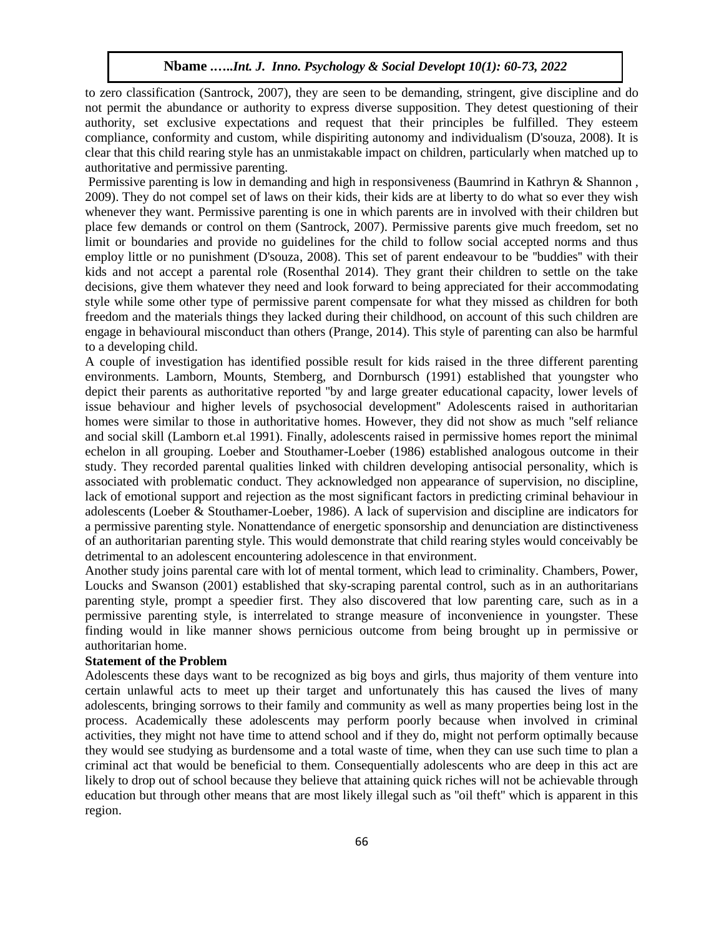to zero classification (Santrock, 2007), they are seen to be demanding, stringent, give discipline and do not permit the abundance or authority to express diverse supposition. They detest questioning of their authority, set exclusive expectations and request that their principles be fulfilled. They esteem compliance, conformity and custom, while dispiriting autonomy and individualism (D'souza, 2008). It is clear that this child rearing style has an unmistakable impact on children, particularly when matched up to authoritative and permissive parenting.

Permissive parenting is low in demanding and high in responsiveness (Baumrind in Kathryn & Shannon, 2009). They do not compel set of laws on their kids, their kids are at liberty to do what so ever they wish whenever they want. Permissive parenting is one in which parents are in involved with their children but place few demands or control on them (Santrock, 2007). Permissive parents give much freedom, set no limit or boundaries and provide no guidelines for the child to follow social accepted norms and thus employ little or no punishment (D'souza, 2008). This set of parent endeavour to be ''buddies'' with their kids and not accept a parental role (Rosenthal 2014). They grant their children to settle on the take decisions, give them whatever they need and look forward to being appreciated for their accommodating style while some other type of permissive parent compensate for what they missed as children for both freedom and the materials things they lacked during their childhood, on account of this such children are engage in behavioural misconduct than others (Prange, 2014). This style of parenting can also be harmful to a developing child.

A couple of investigation has identified possible result for kids raised in the three different parenting environments. Lamborn, Mounts, Stemberg, and Dornbursch (1991) established that youngster who depict their parents as authoritative reported ''by and large greater educational capacity, lower levels of issue behaviour and higher levels of psychosocial development'' Adolescents raised in authoritarian homes were similar to those in authoritative homes. However, they did not show as much ''self reliance and social skill (Lamborn et.al 1991). Finally, adolescents raised in permissive homes report the minimal echelon in all grouping. Loeber and Stouthamer-Loeber (1986) established analogous outcome in their study. They recorded parental qualities linked with children developing antisocial personality, which is associated with problematic conduct. They acknowledged non appearance of supervision, no discipline, lack of emotional support and rejection as the most significant factors in predicting criminal behaviour in adolescents (Loeber & Stouthamer-Loeber, 1986). A lack of supervision and discipline are indicators for a permissive parenting style. Nonattendance of energetic sponsorship and denunciation are distinctiveness of an authoritarian parenting style. This would demonstrate that child rearing styles would conceivably be detrimental to an adolescent encountering adolescence in that environment.

Another study joins parental care with lot of mental torment, which lead to criminality. Chambers, Power, Loucks and Swanson (2001) established that sky-scraping parental control, such as in an authoritarians parenting style, prompt a speedier first. They also discovered that low parenting care, such as in a permissive parenting style, is interrelated to strange measure of inconvenience in youngster. These finding would in like manner shows pernicious outcome from being brought up in permissive or authoritarian home.

#### **Statement of the Problem**

Adolescents these days want to be recognized as big boys and girls, thus majority of them venture into certain unlawful acts to meet up their target and unfortunately this has caused the lives of many adolescents, bringing sorrows to their family and community as well as many properties being lost in the process. Academically these adolescents may perform poorly because when involved in criminal activities, they might not have time to attend school and if they do, might not perform optimally because they would see studying as burdensome and a total waste of time, when they can use such time to plan a criminal act that would be beneficial to them. Consequentially adolescents who are deep in this act are likely to drop out of school because they believe that attaining quick riches will not be achievable through education but through other means that are most likely illegal such as ''oil theft'' which is apparent in this region.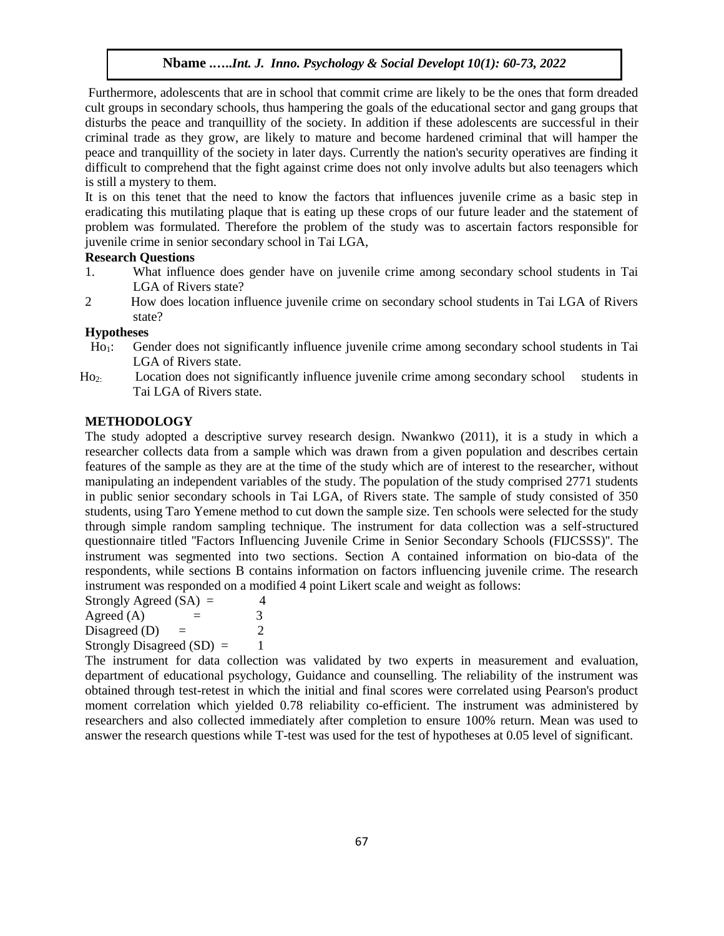Furthermore, adolescents that are in school that commit crime are likely to be the ones that form dreaded cult groups in secondary schools, thus hampering the goals of the educational sector and gang groups that disturbs the peace and tranquillity of the society. In addition if these adolescents are successful in their criminal trade as they grow, are likely to mature and become hardened criminal that will hamper the peace and tranquillity of the society in later days. Currently the nation's security operatives are finding it difficult to comprehend that the fight against crime does not only involve adults but also teenagers which is still a mystery to them.

It is on this tenet that the need to know the factors that influences juvenile crime as a basic step in eradicating this mutilating plaque that is eating up these crops of our future leader and the statement of problem was formulated. Therefore the problem of the study was to ascertain factors responsible for juvenile crime in senior secondary school in Tai LGA,

# **Research Questions**

- 1. What influence does gender have on juvenile crime among secondary school students in Tai LGA of Rivers state?
- 2 How does location influence juvenile crime on secondary school students in Tai LGA of Rivers state?

#### **Hypotheses**

- Ho1: Gender does not significantly influence juvenile crime among secondary school students in Tai LGA of Rivers state.
- Ho2: Location does not significantly influence juvenile crime among secondary school students in Tai LGA of Rivers state.

# **METHODOLOGY**

The study adopted a descriptive survey research design. Nwankwo (2011), it is a study in which a researcher collects data from a sample which was drawn from a given population and describes certain features of the sample as they are at the time of the study which are of interest to the researcher, without manipulating an independent variables of the study. The population of the study comprised 2771 students in public senior secondary schools in Tai LGA, of Rivers state. The sample of study consisted of 350 students, using Taro Yemene method to cut down the sample size. Ten schools were selected for the study through simple random sampling technique. The instrument for data collection was a self-structured questionnaire titled ''Factors Influencing Juvenile Crime in Senior Secondary Schools (FIJCSSS)''. The instrument was segmented into two sections. Section A contained information on bio-data of the respondents, while sections B contains information on factors influencing juvenile crime. The research instrument was responded on a modified 4 point Likert scale and weight as follows:

Strongly Agreed  $(SA) = 4$ Agreed (A)  $=$  3 Disagreed (D)  $=$  2 Strongly Disagreed  $(SD) = 1$ 

The instrument for data collection was validated by two experts in measurement and evaluation, department of educational psychology, Guidance and counselling. The reliability of the instrument was obtained through test-retest in which the initial and final scores were correlated using Pearson's product moment correlation which yielded 0.78 reliability co-efficient. The instrument was administered by researchers and also collected immediately after completion to ensure 100% return. Mean was used to answer the research questions while T-test was used for the test of hypotheses at 0.05 level of significant.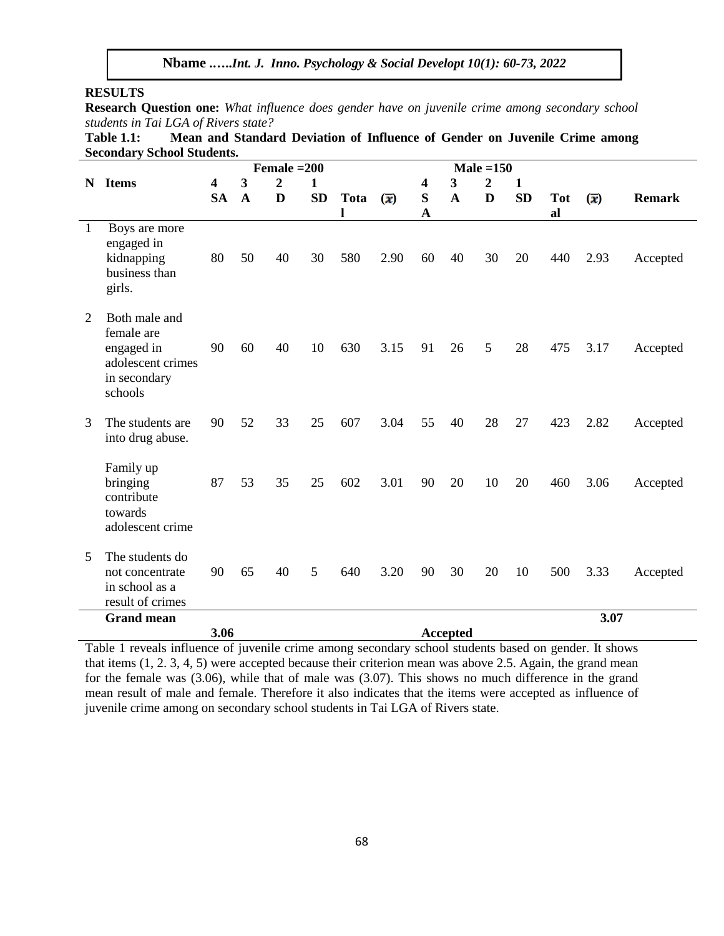#### **RESULTS**

**Research Question one:** *What influence does gender have on juvenile crime among secondary school students in Tai LGA of Rivers state?*

**Table 1.1: Mean and Standard Deviation of Influence of Gender on Juvenile Crime among Secondary School Students.**

|              |                                                                                           |           |             | Female $=200$  |           |                  |                                       | Male $=150$             |                 |                |           |                  |                                      |               |
|--------------|-------------------------------------------------------------------------------------------|-----------|-------------|----------------|-----------|------------------|---------------------------------------|-------------------------|-----------------|----------------|-----------|------------------|--------------------------------------|---------------|
| N            | <b>Items</b>                                                                              | 4         | 3           | $\overline{2}$ | 1         |                  |                                       | $\overline{\mathbf{4}}$ | 3               | $\overline{2}$ | 1         |                  |                                      |               |
|              |                                                                                           | <b>SA</b> | $\mathbf A$ | D              | <b>SD</b> | <b>Tota</b><br>l | $\left( \overline{\mathbf{x}}\right)$ | S<br>$\mathbf{A}$       | $\mathbf A$     | D              | <b>SD</b> | <b>Tot</b><br>al | $\left(\overline{\mathbf{x}}\right)$ | <b>Remark</b> |
| $\mathbf{1}$ | Boys are more<br>engaged in<br>kidnapping<br>business than<br>girls.                      | 80        | 50          | 40             | 30        | 580              | 2.90                                  | 60                      | 40              | 30             | 20        | 440              | 2.93                                 | Accepted      |
| 2            | Both male and<br>female are<br>engaged in<br>adolescent crimes<br>in secondary<br>schools | 90        | 60          | 40             | 10        | 630              | 3.15                                  | 91                      | 26              | 5              | 28        | 475              | 3.17                                 | Accepted      |
| 3            | The students are<br>into drug abuse.                                                      | 90        | 52          | 33             | 25        | 607              | 3.04                                  | 55                      | 40              | 28             | 27        | 423              | 2.82                                 | Accepted      |
|              | Family up<br>bringing<br>contribute<br>towards<br>adolescent crime                        | 87        | 53          | 35             | 25        | 602              | 3.01                                  | 90                      | 20              | 10             | 20        | 460              | 3.06                                 | Accepted      |
| 5            | The students do<br>not concentrate<br>in school as a<br>result of crimes                  | 90        | 65          | 40             | 5         | 640              | 3.20                                  | 90                      | 30              | 20             | 10        | 500              | 3.33                                 | Accepted      |
|              | <b>Grand mean</b>                                                                         |           |             |                |           |                  |                                       |                         |                 |                |           |                  | 3.07                                 |               |
|              | 3.06                                                                                      |           |             |                |           |                  |                                       |                         | <b>Accepted</b> |                |           |                  |                                      |               |

Table 1 reveals influence of juvenile crime among secondary school students based on gender. It shows that items (1, 2. 3, 4, 5) were accepted because their criterion mean was above 2.5. Again, the grand mean for the female was (3.06), while that of male was (3.07). This shows no much difference in the grand mean result of male and female. Therefore it also indicates that the items were accepted as influence of juvenile crime among on secondary school students in Tai LGA of Rivers state.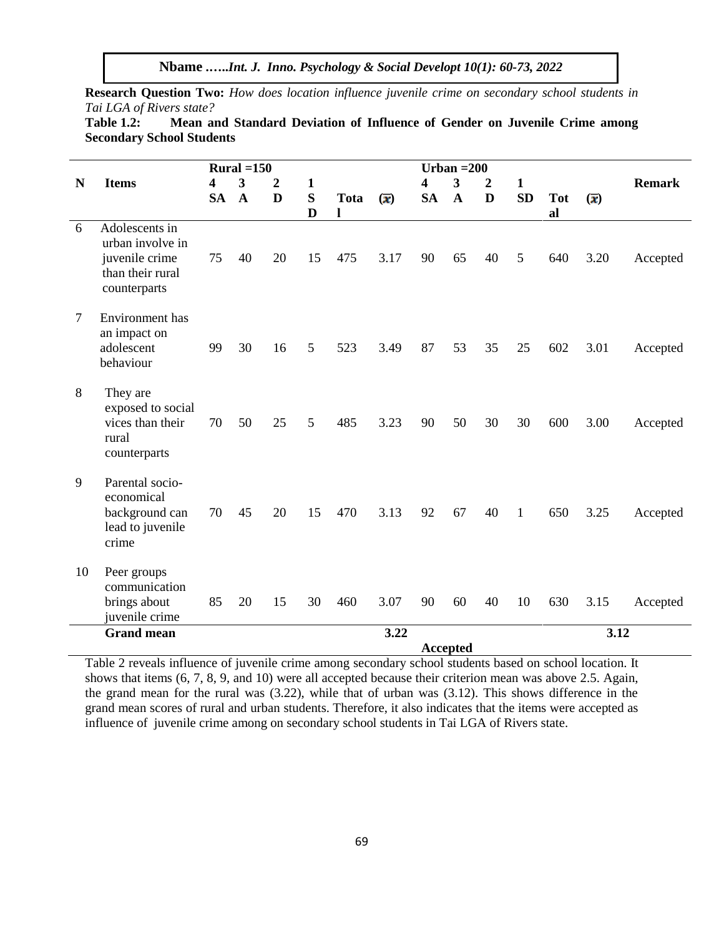**Research Question Two:** *How does location influence juvenile crime on secondary school students in Tai LGA of Rivers state?*

| <b>Table 1.2:</b>                |  | Mean and Standard Deviation of Influence of Gender on Juvenile Crime among |  |  |  |  |
|----------------------------------|--|----------------------------------------------------------------------------|--|--|--|--|
| <b>Secondary School Students</b> |  |                                                                            |  |  |  |  |

|        |                                                                                          | Rural $=150$    |             |                  |        |                  |                                       |           | Urban $=200$            |                |           |                  |                                       |               |
|--------|------------------------------------------------------------------------------------------|-----------------|-------------|------------------|--------|------------------|---------------------------------------|-----------|-------------------------|----------------|-----------|------------------|---------------------------------------|---------------|
| N      | <b>Items</b>                                                                             | 4               | 3           | $\boldsymbol{2}$ | 1      |                  |                                       | 4         | $\overline{\mathbf{3}}$ | $\overline{2}$ | 1         |                  |                                       | <b>Remark</b> |
|        |                                                                                          | <b>SA</b>       | $\mathbf A$ | D                | S<br>D | <b>Tota</b><br>1 | $\left( \overline{\mathbf{x}}\right)$ | <b>SA</b> | $\mathbf A$             | D              | <b>SD</b> | <b>Tot</b><br>al | $\left( \overline{\mathbf{x}}\right)$ |               |
| 6      | Adolescents in<br>urban involve in<br>juvenile crime<br>than their rural<br>counterparts | 75              | 40          | 20               | 15     | 475              | 3.17                                  | 90        | 65                      | 40             | 5         | 640              | 3.20                                  | Accepted      |
| $\tau$ | Environment has<br>an impact on<br>adolescent<br>behaviour                               | 99              | 30          | 16               | 5      | 523              | 3.49                                  | 87        | 53                      | 35             | 25        | 602              | 3.01                                  | Accepted      |
| 8      | They are<br>exposed to social<br>vices than their<br>rural<br>counterparts               | 70              | 50          | 25               | 5      | 485              | 3.23                                  | 90        | 50                      | 30             | 30        | 600              | 3.00                                  | Accepted      |
| 9      | Parental socio-<br>economical<br>background can<br>lead to juvenile<br>crime             | 70              | 45          | 20               | 15     | 470              | 3.13                                  | 92        | 67                      | 40             | 1         | 650              | 3.25                                  | Accepted      |
| 10     | Peer groups<br>communication<br>brings about<br>juvenile crime                           | 85              | 20          | 15               | 30     | 460              | 3.07                                  | 90        | 60                      | 40             | 10        | 630              | 3.15                                  | Accepted      |
|        | <b>Grand mean</b>                                                                        |                 |             |                  |        |                  | 3.22                                  |           |                         |                |           |                  | 3.12                                  |               |
|        |                                                                                          | <b>Accepted</b> |             |                  |        |                  |                                       |           |                         |                |           |                  |                                       |               |

Table 2 reveals influence of juvenile crime among secondary school students based on school location. It shows that items (6, 7, 8, 9, and 10) were all accepted because their criterion mean was above 2.5. Again, the grand mean for the rural was (3.22), while that of urban was (3.12). This shows difference in the grand mean scores of rural and urban students. Therefore, it also indicates that the items were accepted as influence of juvenile crime among on secondary school students in Tai LGA of Rivers state.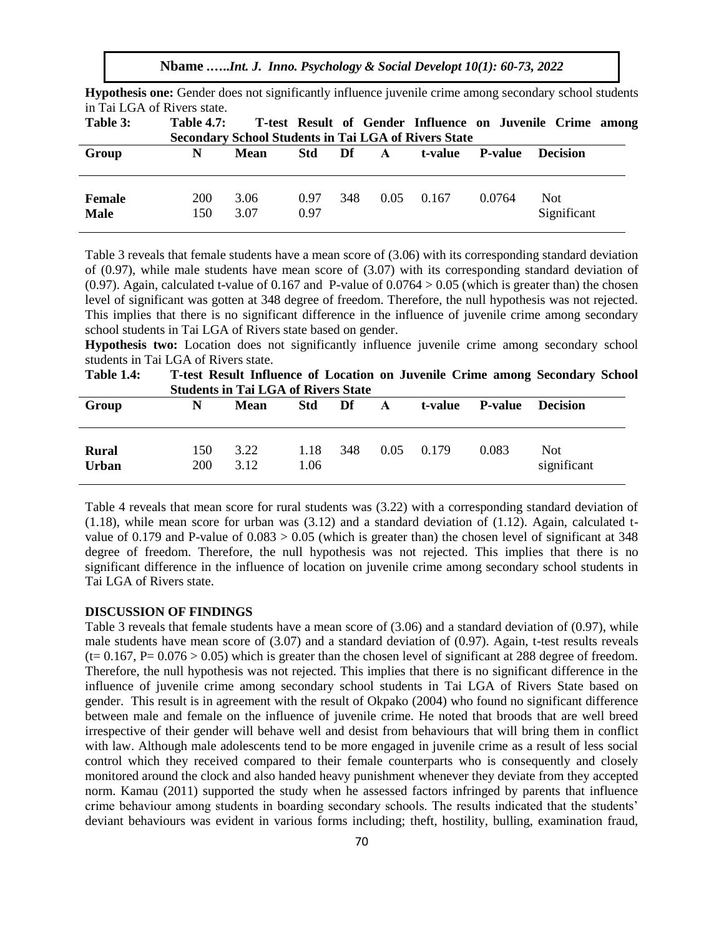**Nbame .…..***Int. J. Inno. Psychology & Social Developt 10(1): 60-73, 2022*

| in Tai LGA of Rivers state.<br>Table 3: | <b>Table 4.7:</b> | <b>Secondary School Students in Tai LGA of Rivers State</b> |              |     |      |         |                | T-test Result of Gender Influence on Juvenile Crime among |  |
|-----------------------------------------|-------------------|-------------------------------------------------------------|--------------|-----|------|---------|----------------|-----------------------------------------------------------|--|
| Group                                   | N                 | Mean                                                        | <b>Std</b>   | Df  | A    | t-value | <b>P-value</b> | <b>Decision</b>                                           |  |
| <b>Female</b><br><b>Male</b>            | 200<br>150        | 3.06<br>3.07                                                | 0.97<br>0.97 | 348 | 0.05 | 0.167   | 0.0764         | Not.<br>Significant                                       |  |

**Hypothesis one:** Gender does not significantly influence juvenile crime among secondary school students in Tai LGA of Rivers state.

Table 3 reveals that female students have a mean score of (3.06) with its corresponding standard deviation of (0.97), while male students have mean score of (3.07) with its corresponding standard deviation of  $(0.97)$ . Again, calculated t-value of 0.167 and P-value of 0.0764 > 0.05 (which is greater than) the chosen level of significant was gotten at 348 degree of freedom. Therefore, the null hypothesis was not rejected. This implies that there is no significant difference in the influence of juvenile crime among secondary school students in Tai LGA of Rivers state based on gender.

**Hypothesis two:** Location does not significantly influence juvenile crime among secondary school students in Tai LGA of Rivers state.

**Table 1.4: T-test Result Influence of Location on Juvenile Crime among Secondary School Students in Tai LGA of Rivers State** 

| Group                        | N          | <b>Mean</b>  | <b>Std</b>   | Df  | $\mathbf{A}$ | t-value P-value |       | <b>Decision</b>    |
|------------------------------|------------|--------------|--------------|-----|--------------|-----------------|-------|--------------------|
| <b>Rural</b><br><b>Urban</b> | 150<br>200 | 3.22<br>3.12 | 1.18<br>1.06 | 348 | $0.05$ 0.179 |                 | 0.083 | Not<br>significant |

Table 4 reveals that mean score for rural students was (3.22) with a corresponding standard deviation of  $(1.18)$ , while mean score for urban was  $(3.12)$  and a standard deviation of  $(1.12)$ . Again, calculated tvalue of 0.179 and P-value of  $0.083 > 0.05$  (which is greater than) the chosen level of significant at 348 degree of freedom. Therefore, the null hypothesis was not rejected. This implies that there is no significant difference in the influence of location on juvenile crime among secondary school students in Tai LGA of Rivers state.

#### **DISCUSSION OF FINDINGS**

Table 3 reveals that female students have a mean score of (3.06) and a standard deviation of (0.97), while male students have mean score of  $(3.07)$  and a standard deviation of  $(0.97)$ . Again, t-test results reveals  $(t= 0.167, P= 0.076 > 0.05)$  which is greater than the chosen level of significant at 288 degree of freedom. Therefore, the null hypothesis was not rejected. This implies that there is no significant difference in the influence of juvenile crime among secondary school students in Tai LGA of Rivers State based on gender. This result is in agreement with the result of Okpako (2004) who found no significant difference between male and female on the influence of juvenile crime. He noted that broods that are well breed irrespective of their gender will behave well and desist from behaviours that will bring them in conflict with law. Although male adolescents tend to be more engaged in juvenile crime as a result of less social control which they received compared to their female counterparts who is consequently and closely monitored around the clock and also handed heavy punishment whenever they deviate from they accepted norm. Kamau (2011) supported the study when he assessed factors infringed by parents that influence crime behaviour among students in boarding secondary schools. The results indicated that the students' deviant behaviours was evident in various forms including; theft, hostility, bulling, examination fraud,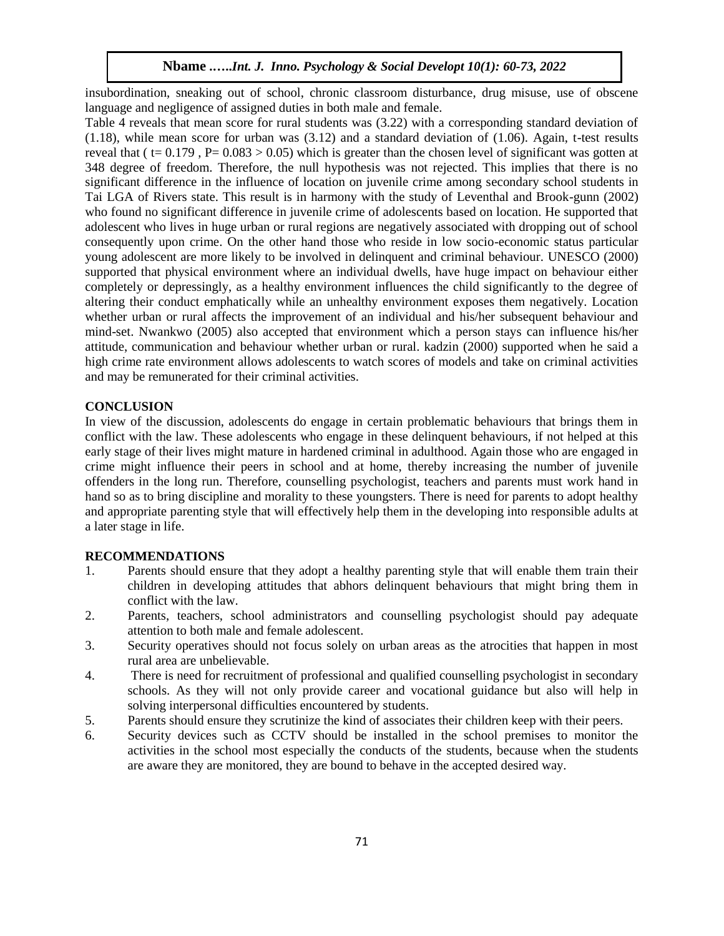insubordination, sneaking out of school, chronic classroom disturbance, drug misuse, use of obscene language and negligence of assigned duties in both male and female.

Table 4 reveals that mean score for rural students was (3.22) with a corresponding standard deviation of (1.18), while mean score for urban was (3.12) and a standard deviation of (1.06). Again, t-test results reveal that ( $t= 0.179$ , P= 0.083 > 0.05) which is greater than the chosen level of significant was gotten at 348 degree of freedom. Therefore, the null hypothesis was not rejected. This implies that there is no significant difference in the influence of location on juvenile crime among secondary school students in Tai LGA of Rivers state. This result is in harmony with the study of Leventhal and Brook-gunn (2002) who found no significant difference in juvenile crime of adolescents based on location. He supported that adolescent who lives in huge urban or rural regions are negatively associated with dropping out of school consequently upon crime. On the other hand those who reside in low socio-economic status particular young adolescent are more likely to be involved in delinquent and criminal behaviour. UNESCO (2000) supported that physical environment where an individual dwells, have huge impact on behaviour either completely or depressingly, as a healthy environment influences the child significantly to the degree of altering their conduct emphatically while an unhealthy environment exposes them negatively. Location whether urban or rural affects the improvement of an individual and his/her subsequent behaviour and mind-set. Nwankwo (2005) also accepted that environment which a person stays can influence his/her attitude, communication and behaviour whether urban or rural. kadzin (2000) supported when he said a high crime rate environment allows adolescents to watch scores of models and take on criminal activities and may be remunerated for their criminal activities.

#### **CONCLUSION**

In view of the discussion, adolescents do engage in certain problematic behaviours that brings them in conflict with the law. These adolescents who engage in these delinquent behaviours, if not helped at this early stage of their lives might mature in hardened criminal in adulthood. Again those who are engaged in crime might influence their peers in school and at home, thereby increasing the number of juvenile offenders in the long run. Therefore, counselling psychologist, teachers and parents must work hand in hand so as to bring discipline and morality to these youngsters. There is need for parents to adopt healthy and appropriate parenting style that will effectively help them in the developing into responsible adults at a later stage in life.

#### **RECOMMENDATIONS**

- 1. Parents should ensure that they adopt a healthy parenting style that will enable them train their children in developing attitudes that abhors delinquent behaviours that might bring them in conflict with the law.
- 2. Parents, teachers, school administrators and counselling psychologist should pay adequate attention to both male and female adolescent.
- 3. Security operatives should not focus solely on urban areas as the atrocities that happen in most rural area are unbelievable.
- 4. There is need for recruitment of professional and qualified counselling psychologist in secondary schools. As they will not only provide career and vocational guidance but also will help in solving interpersonal difficulties encountered by students.
- 5. Parents should ensure they scrutinize the kind of associates their children keep with their peers.
- 6. Security devices such as CCTV should be installed in the school premises to monitor the activities in the school most especially the conducts of the students, because when the students are aware they are monitored, they are bound to behave in the accepted desired way.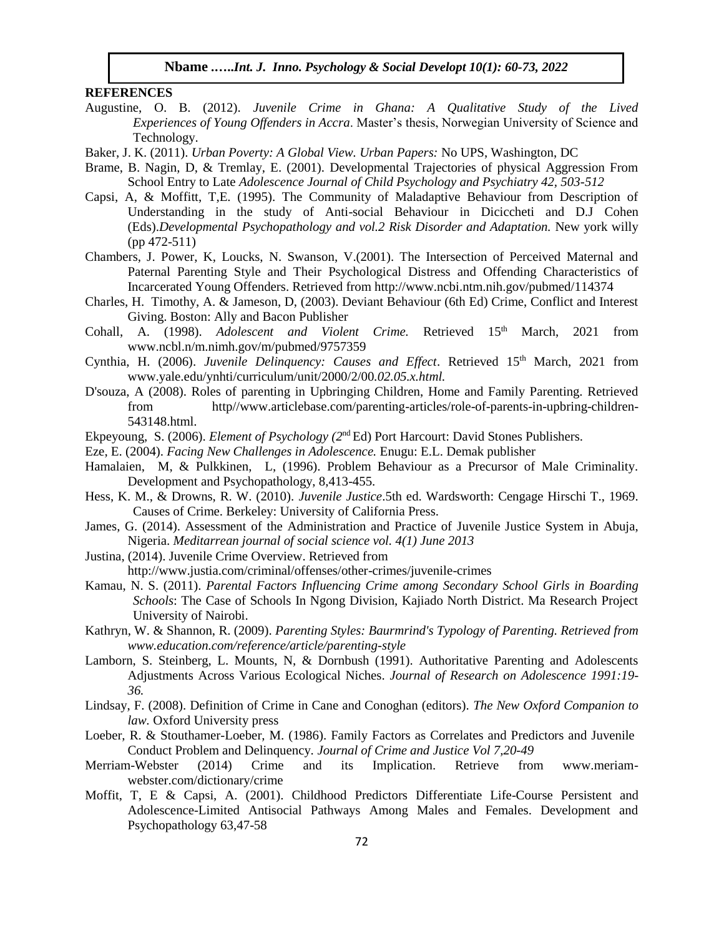#### **REFERENCES**

- Augustine, O. B. (2012). *Juvenile Crime in Ghana: A Qualitative Study of the Lived Experiences of Young Offenders in Accra*. Master's thesis, Norwegian University of Science and Technology.
- Baker, J. K. (2011). *Urban Poverty: A Global View. Urban Papers:* No UPS, Washington, DC
- Brame, B. Nagin, D, & Tremlay, E. (2001). Developmental Trajectories of physical Aggression From School Entry to Late *Adolescence Journal of Child Psychology and Psychiatry 42, 503-512*
- Capsi, A, & Moffitt, T,E. (1995). The Community of Maladaptive Behaviour from Description of Understanding in the study of Anti-social Behaviour in Diciccheti and D.J Cohen (Eds).*Developmental Psychopathology and vol.2 Risk Disorder and Adaptation.* New york willy (pp 472-511)
- Chambers, J. Power, K, Loucks, N. Swanson, V.(2001). The Intersection of Perceived Maternal and Paternal Parenting Style and Their Psychological Distress and Offending Characteristics of Incarcerated Young Offenders. Retrieved from http://www.ncbi.ntm.nih.gov/pubmed/114374
- Charles, H. Timothy, A. & Jameson, D, (2003). Deviant Behaviour (6th Ed) Crime, Conflict and Interest Giving. Boston: Ally and Bacon Publisher
- Cohall, A. (1998). *Adolescent and Violent Crime*. Retrieved 15<sup>th</sup> March, 2021 from www.ncbl.n/m.nimh.gov/m/pubmed/9757359
- Cynthia, H. (2006). *Juvenile Delinquency: Causes and Effect*. Retrieved 15<sup>th</sup> March, 2021 from www.yale.edu/ynhti/curriculum/unit/2000/2/00*.02.05.x.html.*
- D'souza, A (2008). Roles of parenting in Upbringing Children, Home and Family Parenting. Retrieved from http//www.articlebase.com/parenting-articles/role-of-parents-in-upbring-children-543148.html.
- Ekpeyoung, S. (2006). *Element of Psychology (2*nd Ed) Port Harcourt: David Stones Publishers.
- Eze, E. (2004). *Facing New Challenges in Adolescence.* Enugu: E.L. Demak publisher
- Hamalaien, M, & Pulkkinen, L, (1996). Problem Behaviour as a Precursor of Male Criminality. Development and Psychopathology, 8,413-455.
- Hess, K. M., & Drowns, R. W. (2010). *Juvenile Justice*.5th ed. Wardsworth: Cengage Hirschi T., 1969. Causes of Crime. Berkeley: University of California Press.
- James, G. (2014). Assessment of the Administration and Practice of Juvenile Justice System in Abuja, Nigeria. *Meditarrean journal of social science vol. 4(1) June 2013*
- Justina, (2014). Juvenile Crime Overview. Retrieved from

http://www.justia.com/criminal/offenses/other-crimes/juvenile-crimes

- Kamau, N. S. (2011). *Parental Factors Influencing Crime among Secondary School Girls in Boarding Schools*: The Case of Schools In Ngong Division, Kajiado North District. Ma Research Project University of Nairobi.
- Kathryn, W. & Shannon, R. (2009). *Parenting Styles: Baurmrind's Typology of Parenting. Retrieved from www.education.com/reference/article/parenting-style*
- Lamborn, S. Steinberg, L. Mounts, N, & Dornbush (1991). Authoritative Parenting and Adolescents Adjustments Across Various Ecological Niches. *Journal of Research on Adolescence 1991:19- 36.*
- Lindsay, F. (2008). Definition of Crime in Cane and Conoghan (editors). *The New Oxford Companion to law.* Oxford University press
- Loeber, R. & Stouthamer-Loeber, M. (1986). Family Factors as Correlates and Predictors and Juvenile Conduct Problem and Delinquency*. Journal of Crime and Justice Vol 7,20-49*
- Merriam-Webster (2014) Crime and its Implication. Retrieve from www.meriamwebster.com/dictionary/crime
- Moffit, T, E & Capsi, A. (2001). Childhood Predictors Differentiate Life-Course Persistent and Adolescence-Limited Antisocial Pathways Among Males and Females. Development and Psychopathology 63,47-58